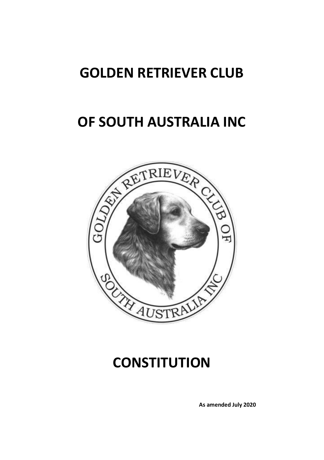# **GOLDEN RETRIEVER CLUB**

# **OF SOUTH AUSTRALIA INC**



# **CONSTITUTION**

**As amended July 2020**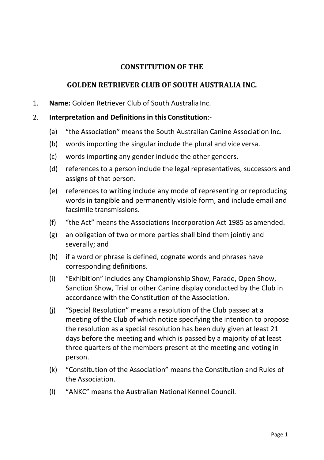## **CONSTITUTION OF THE**

## **GOLDEN RETRIEVER CLUB OF SOUTH AUSTRALIA INC.**

1. **Name:** Golden Retriever Club of South Australia Inc.

### 2. **Interpretation and Definitions in this Constitution**:-

- (a) "the Association" means the South Australian Canine Association Inc.
- (b) words importing the singular include the plural and vice versa.
- (c) words importing any gender include the other genders.
- (d) references to a person include the legal representatives, successors and assigns of that person.
- (e) references to writing include any mode of representing or reproducing words in tangible and permanently visible form, and include email and facsimile transmissions.
- (f) "the Act" means the Associations Incorporation Act 1985 as amended.
- (g) an obligation of two or more parties shall bind them jointly and severally; and
- (h) if a word or phrase is defined, cognate words and phrases have corresponding definitions.
- (i) "Exhibition" includes any Championship Show, Parade, Open Show, Sanction Show, Trial or other Canine display conducted by the Club in accordance with the Constitution of the Association.
- (j) "Special Resolution" means a resolution of the Club passed at a meeting of the Club of which notice specifying the intention to propose the resolution as a special resolution has been duly given at least 21 days before the meeting and which is passed by a majority of at least three quarters of the members present at the meeting and voting in person.
- (k) "Constitution of the Association" means the Constitution and Rules of the Association.
- (l) "ANKC" means the Australian National Kennel Council.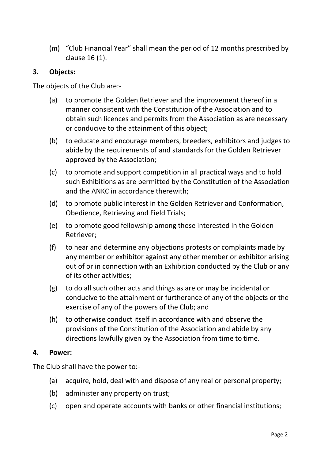(m) "Club Financial Year" shall mean the period of 12 months prescribed by clause 16 (1).

### **3. Objects:**

The objects of the Club are:-

- (a) to promote the Golden Retriever and the improvement thereof in a manner consistent with the Constitution of the Association and to obtain such licences and permits from the Association as are necessary or conducive to the attainment of this object;
- (b) to educate and encourage members, breeders, exhibitors and judges to abide by the requirements of and standards for the Golden Retriever approved by the Association;
- (c) to promote and support competition in all practical ways and to hold such Exhibitions as are permitted by the Constitution of the Association and the ANKC in accordance therewith;
- (d) to promote public interest in the Golden Retriever and Conformation, Obedience, Retrieving and Field Trials;
- (e) to promote good fellowship among those interested in the Golden Retriever;
- (f) to hear and determine any objections protests or complaints made by any member or exhibitor against any other member or exhibitor arising out of or in connection with an Exhibition conducted by the Club or any of its other activities;
- (g) to do all such other acts and things as are or may be incidental or conducive to the attainment or furtherance of any of the objects or the exercise of any of the powers of the Club; and
- (h) to otherwise conduct itself in accordance with and observe the provisions of the Constitution of the Association and abide by any directions lawfully given by the Association from time to time.

#### **4. Power:**

The Club shall have the power to:-

- (a) acquire, hold, deal with and dispose of any real or personal property;
- (b) administer any property on trust;
- (c) open and operate accounts with banks or other financial institutions;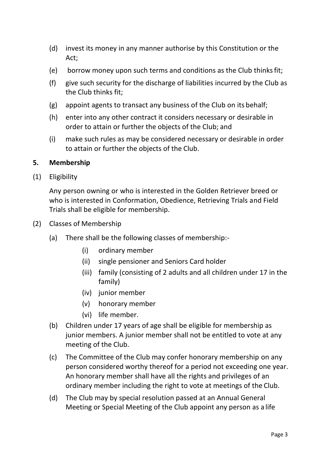- (d) invest its money in any manner authorise by this Constitution or the Act;
- (e) borrow money upon such terms and conditions as the Club thinksfit;
- (f) give such security for the discharge of liabilities incurred by the Club as the Club thinks fit;
- (g) appoint agents to transact any business of the Club on its behalf;
- (h) enter into any other contract it considers necessary or desirable in order to attain or further the objects of the Club; and
- (i) make such rules as may be considered necessary or desirable in order to attain or further the objects of the Club.

### **5. Membership**

(1) Eligibility

Any person owning or who is interested in the Golden Retriever breed or who is interested in Conformation, Obedience, Retrieving Trials and Field Trials shall be eligible for membership.

- (2) Classes of Membership
	- (a) There shall be the following classes of membership:-
		- (i) ordinary member
		- (ii) single pensioner and Seniors Card holder
		- (iii) family (consisting of 2 adults and all children under 17 in the family)
		- (iv) junior member
		- (v) honorary member
		- (vi) life member.
	- (b) Children under 17 years of age shall be eligible for membership as junior members. A junior member shall not be entitled to vote at any meeting of the Club.
	- (c) The Committee of the Club may confer honorary membership on any person considered worthy thereof for a period not exceeding one year. An honorary member shall have all the rights and privileges of an ordinary member including the right to vote at meetings of the Club.
	- (d) The Club may by special resolution passed at an Annual General Meeting or Special Meeting of the Club appoint any person as a life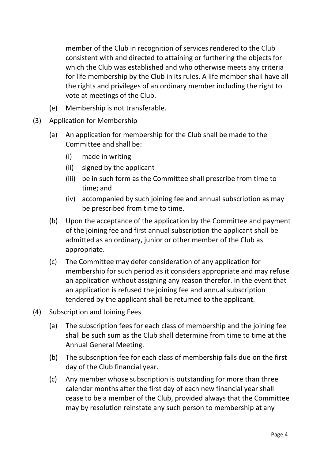member of the Club in recognition of services rendered to the Club consistent with and directed to attaining or furthering the objects for which the Club was established and who otherwise meets any criteria for life membership by the Club in its rules. A life member shall have all the rights and privileges of an ordinary member including the right to vote at meetings of the Club.

- (e) Membership is not transferable.
- (3) Application for Membership
	- (a) An application for membership for the Club shall be made to the Committee and shall be:
		- (i) made in writing
		- (ii) signed by the applicant
		- (iii) be in such form as the Committee shall prescribe from time to time; and
		- (iv) accompanied by such joining fee and annual subscription as may be prescribed from time to time.
	- (b) Upon the acceptance of the application by the Committee and payment of the joining fee and first annual subscription the applicant shall be admitted as an ordinary, junior or other member of the Club as appropriate.
	- (c) The Committee may defer consideration of any application for membership for such period as it considers appropriate and may refuse an application without assigning any reason therefor. In the event that an application is refused the joining fee and annual subscription tendered by the applicant shall be returned to the applicant.
- (4) Subscription and Joining Fees
	- (a) The subscription fees for each class of membership and the joining fee shall be such sum as the Club shall determine from time to time at the Annual General Meeting.
	- (b) The subscription fee for each class of membership falls due on the first day of the Club financial year.
	- (c) Any member whose subscription is outstanding for more than three calendar months after the first day of each new financial year shall cease to be a member of the Club, provided always that the Committee may by resolution reinstate any such person to membership at any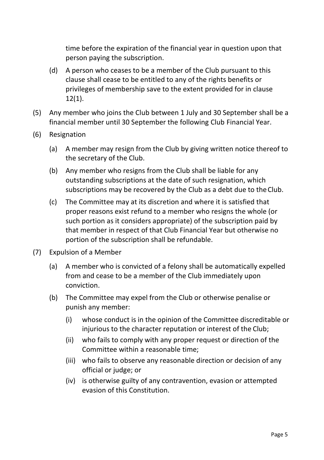time before the expiration of the financial year in question upon that person paying the subscription.

- (d) A person who ceases to be a member of the Club pursuant to this clause shall cease to be entitled to any of the rights benefits or privileges of membership save to the extent provided for in clause 12(1).
- (5) Any member who joins the Club between 1 July and 30 September shall be a financial member until 30 September the following Club Financial Year.
- (6) Resignation
	- (a) A member may resign from the Club by giving written notice thereof to the secretary of the Club.
	- (b) Any member who resigns from the Club shall be liable for any outstanding subscriptions at the date of such resignation, which subscriptions may be recovered by the Club as a debt due to theClub.
	- (c) The Committee may at its discretion and where it is satisfied that proper reasons exist refund to a member who resigns the whole (or such portion as it considers appropriate) of the subscription paid by that member in respect of that Club Financial Year but otherwise no portion of the subscription shall be refundable.
- (7) Expulsion of a Member
	- (a) A member who is convicted of a felony shall be automatically expelled from and cease to be a member of the Club immediately upon conviction.
	- (b) The Committee may expel from the Club or otherwise penalise or punish any member:
		- (i) whose conduct is in the opinion of the Committee discreditable or injurious to the character reputation or interest of the Club;
		- (ii) who fails to comply with any proper request or direction of the Committee within a reasonable time;
		- (iii) who fails to observe any reasonable direction or decision of any official or judge; or
		- (iv) is otherwise guilty of any contravention, evasion or attempted evasion of this Constitution.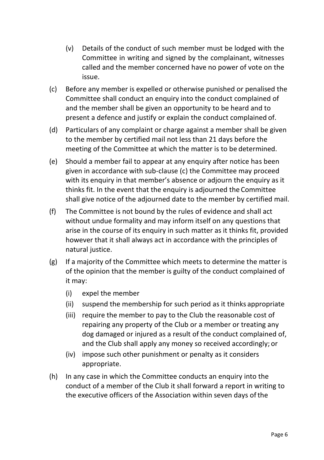- (v) Details of the conduct of such member must be lodged with the Committee in writing and signed by the complainant, witnesses called and the member concerned have no power of vote on the issue.
- (c) Before any member is expelled or otherwise punished or penalised the Committee shall conduct an enquiry into the conduct complained of and the member shall be given an opportunity to be heard and to present a defence and justify or explain the conduct complained of.
- (d) Particulars of any complaint or charge against a member shall be given to the member by certified mail not less than 21 days before the meeting of the Committee at which the matter is to be determined.
- (e) Should a member fail to appear at any enquiry after notice has been given in accordance with sub-clause (c) the Committee may proceed with its enquiry in that member's absence or adjourn the enquiry as it thinks fit. In the event that the enquiry is adjourned the Committee shall give notice of the adjourned date to the member by certified mail.
- (f) The Committee is not bound by the rules of evidence and shall act without undue formality and may inform itself on any questions that arise in the course of its enquiry in such matter as it thinks fit, provided however that it shall always act in accordance with the principles of natural justice.
- (g) If a majority of the Committee which meets to determine the matter is of the opinion that the member is guilty of the conduct complained of it may:
	- (i) expel the member
	- (ii) suspend the membership for such period as it thinks appropriate
	- (iii) require the member to pay to the Club the reasonable cost of repairing any property of the Club or a member or treating any dog damaged or injured as a result of the conduct complained of, and the Club shall apply any money so received accordingly; or
	- (iv) impose such other punishment or penalty as it considers appropriate.
- (h) In any case in which the Committee conducts an enquiry into the conduct of a member of the Club it shall forward a report in writing to the executive officers of the Association within seven days ofthe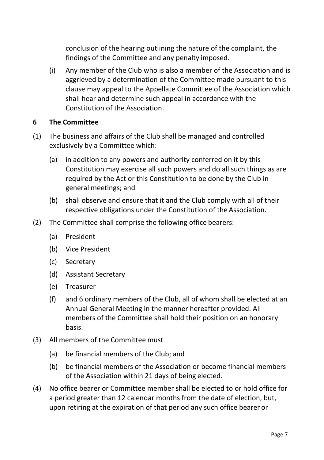conclusion of the hearing outlining the nature of the complaint, the findings of the Committee and any penalty imposed.

(i) Any member of the Club who is also a member of the Association and is aggrieved by a determination of the Committee made pursuant to this clause may appeal to the Appellate Committee of the Association which shall hear and determine such appeal in accordance with the Constitution of the Association.

## **6 The Committee**

- (1) The business and affairs of the Club shall be managed and controlled exclusively by a Committee which:
	- (a) in addition to any powers and authority conferred on it by this Constitution may exercise all such powers and do all such things as are required by the Act or this Constitution to be done by the Club in general meetings; and
	- (b) shall observe and ensure that it and the Club comply with all of their respective obligations under the Constitution of the Association.
- (2) The Committee shall comprise the following office bearers:
	- (a) President
	- (b) Vice President
	- (c) Secretary
	- (d) Assistant Secretary
	- (e) Treasurer
	- (f) and 6 ordinary members of the Club, all of whom shall be elected at an Annual General Meeting in the manner hereafter provided. All members of the Committee shall hold their position on an honorary basis.
- (3) All members of the Committee must
	- (a) be financial members of the Club; and
	- (b) be financial members of the Association or become financial members of the Association within 21 days of being elected.
- (4) No office bearer or Committee member shall be elected to or hold office for a period greater than 12 calendar months from the date of election, but, upon retiring at the expiration of that period any such office bearer or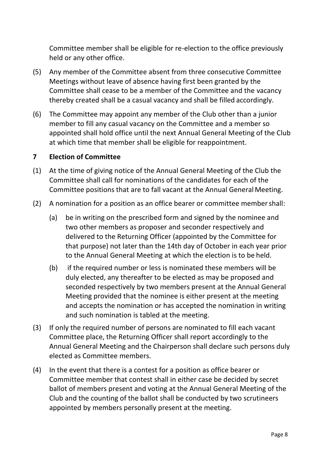Committee member shall be eligible for re-election to the office previously held or any other office.

- (5) Any member of the Committee absent from three consecutive Committee Meetings without leave of absence having first been granted by the Committee shall cease to be a member of the Committee and the vacancy thereby created shall be a casual vacancy and shall be filled accordingly.
- (6) The Committee may appoint any member of the Club other than a junior member to fill any casual vacancy on the Committee and a member so appointed shall hold office until the next Annual General Meeting of the Club at which time that member shall be eligible for reappointment.

#### **7 Election of Committee**

- (1) At the time of giving notice of the Annual General Meeting of the Club the Committee shall call for nominations of the candidates for each of the Committee positions that are to fall vacant at the Annual GeneralMeeting.
- (2) A nomination for a position as an office bearer or committee membershall:
	- (a) be in writing on the prescribed form and signed by the nominee and two other members as proposer and seconder respectively and delivered to the Returning Officer (appointed by the Committee for that purpose) not later than the 14th day of October in each year prior to the Annual General Meeting at which the election is to be held.
	- (b) if the required number or less is nominated these members will be duly elected, any thereafter to be elected as may be proposed and seconded respectively by two members present at the Annual General Meeting provided that the nominee is either present at the meeting and accepts the nomination or has accepted the nomination in writing and such nomination is tabled at the meeting.
- (3) If only the required number of persons are nominated to fill each vacant Committee place, the Returning Officer shall report accordingly to the Annual General Meeting and the Chairperson shall declare such persons duly elected as Committee members.
- (4) In the event that there is a contest for a position as office bearer or Committee member that contest shall in either case be decided by secret ballot of members present and voting at the Annual General Meeting of the Club and the counting of the ballot shall be conducted by two scrutineers appointed by members personally present at the meeting.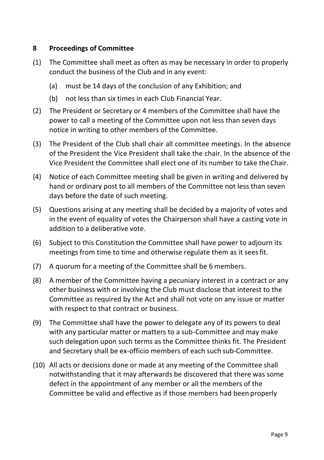### **8 Proceedings of Committee**

- (1) The Committee shall meet as often as may be necessary in order to properly conduct the business of the Club and in any event:
	- (a) must be 14 days of the conclusion of any Exhibition; and
	- (b) not less than six times in each Club Financial Year.
- (2) The President or Secretary or 4 members of the Committee shall have the power to call a meeting of the Committee upon not less than seven days notice in writing to other members of the Committee.
- (3) The President of the Club shall chair all committee meetings. In the absence of the President the Vice President shall take the chair. In the absence of the Vice President the Committee shall elect one of its number to take theChair.
- (4) Notice of each Committee meeting shall be given in writing and delivered by hand or ordinary post to all members of the Committee not less than seven days before the date of such meeting.
- (5) Questions arising at any meeting shall be decided by a majority of votes and in the event of equality of votes the Chairperson shall have a casting vote in addition to a deliberative vote.
- (6) Subject to this Constitution the Committee shall have power to adjourn its meetings from time to time and otherwise regulate them as it seesfit.
- (7) A quorum for a meeting of the Committee shall be 6 members.
- (8) A member of the Committee having a pecuniary interest in a contract or any other business with or involving the Club must disclose that interest to the Committee as required by the Act and shall not vote on any issue or matter with respect to that contract or business.
- (9) The Committee shall have the power to delegate any of its powers to deal with any particular matter or matters to a sub-Committee and may make such delegation upon such terms as the Committee thinks fit. The President and Secretary shall be ex-officio members of each such sub-Committee.
- (10) All acts or decisions done or made at any meeting of the Committee shall notwithstanding that it may afterwards be discovered that there was some defect in the appointment of any member or all the members of the Committee be valid and effective as if those members had been properly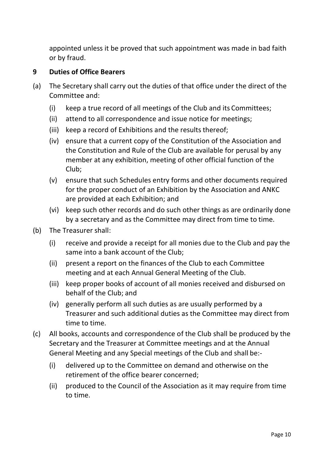appointed unless it be proved that such appointment was made in bad faith or by fraud.

### **9 Duties of Office Bearers**

- (a) The Secretary shall carry out the duties of that office under the direct of the Committee and:
	- (i) keep a true record of all meetings of the Club and its Committees;
	- (ii) attend to all correspondence and issue notice for meetings;
	- (iii) keep a record of Exhibitions and the results thereof;
	- (iv) ensure that a current copy of the Constitution of the Association and the Constitution and Rule of the Club are available for perusal by any member at any exhibition, meeting of other official function of the Club;
	- (v) ensure that such Schedules entry forms and other documents required for the proper conduct of an Exhibition by the Association and ANKC are provided at each Exhibition; and
	- (vi) keep such other records and do such other things as are ordinarily done by a secretary and as the Committee may direct from time to time.
- (b) The Treasurer shall:
	- (i) receive and provide a receipt for all monies due to the Club and pay the same into a bank account of the Club;
	- (ii) present a report on the finances of the Club to each Committee meeting and at each Annual General Meeting of the Club.
	- (iii) keep proper books of account of all monies received and disbursed on behalf of the Club; and
	- (iv) generally perform all such duties as are usually performed by a Treasurer and such additional duties as the Committee may direct from time to time.
- (c) All books, accounts and correspondence of the Club shall be produced by the Secretary and the Treasurer at Committee meetings and at the Annual General Meeting and any Special meetings of the Club and shall be:-
	- (i) delivered up to the Committee on demand and otherwise on the retirement of the office bearer concerned;
	- (ii) produced to the Council of the Association as it may require from time to time.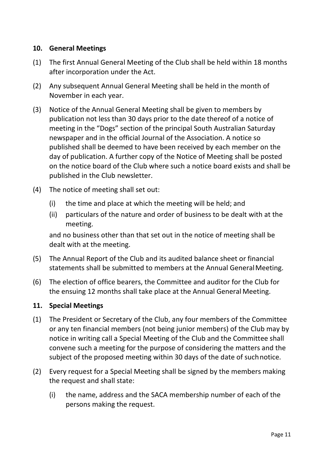### **10. General Meetings**

- (1) The first Annual General Meeting of the Club shall be held within 18 months after incorporation under the Act.
- (2) Any subsequent Annual General Meeting shall be held in the month of November in each year.
- (3) Notice of the Annual General Meeting shall be given to members by publication not less than 30 days prior to the date thereof of a notice of meeting in the "Dogs" section of the principal South Australian Saturday newspaper and in the official Journal of the Association. A notice so published shall be deemed to have been received by each member on the day of publication. A further copy of the Notice of Meeting shall be posted on the notice board of the Club where such a notice board exists and shall be published in the Club newsletter.
- (4) The notice of meeting shall set out:
	- (i) the time and place at which the meeting will be held; and
	- (ii) particulars of the nature and order of business to be dealt with at the meeting.

and no business other than that set out in the notice of meeting shall be dealt with at the meeting.

- (5) The Annual Report of the Club and its audited balance sheet or financial statements shall be submitted to members at the Annual GeneralMeeting.
- (6) The election of office bearers, the Committee and auditor for the Club for the ensuing 12 months shall take place at the Annual General Meeting.

### **11. Special Meetings**

- (1) The President or Secretary of the Club, any four members of the Committee or any ten financial members (not being junior members) of the Club may by notice in writing call a Special Meeting of the Club and the Committee shall convene such a meeting for the purpose of considering the matters and the subject of the proposed meeting within 30 days of the date of suchnotice.
- (2) Every request for a Special Meeting shall be signed by the members making the request and shall state:
	- (i) the name, address and the SACA membership number of each of the persons making the request.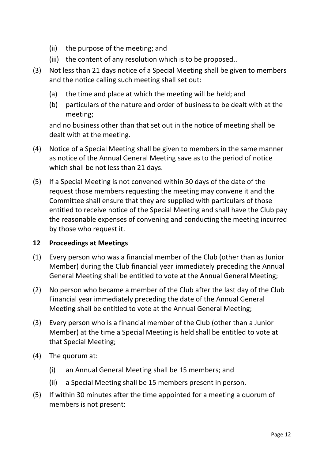- (ii) the purpose of the meeting; and
- (iii) the content of any resolution which is to be proposed..
- (3) Not less than 21 days notice of a Special Meeting shall be given to members and the notice calling such meeting shall set out:
	- (a) the time and place at which the meeting will be held; and
	- (b) particulars of the nature and order of business to be dealt with at the meeting;

and no business other than that set out in the notice of meeting shall be dealt with at the meeting.

- (4) Notice of a Special Meeting shall be given to members in the same manner as notice of the Annual General Meeting save as to the period of notice which shall be not less than 21 days.
- (5) If a Special Meeting is not convened within 30 days of the date of the request those members requesting the meeting may convene it and the Committee shall ensure that they are supplied with particulars of those entitled to receive notice of the Special Meeting and shall have the Club pay the reasonable expenses of convening and conducting the meeting incurred by those who request it.

### **12 Proceedings at Meetings**

- (1) Every person who was a financial member of the Club (other than as Junior Member) during the Club financial year immediately preceding the Annual General Meeting shall be entitled to vote at the Annual General Meeting;
- (2) No person who became a member of the Club after the last day of the Club Financial year immediately preceding the date of the Annual General Meeting shall be entitled to vote at the Annual General Meeting;
- (3) Every person who is a financial member of the Club (other than a Junior Member) at the time a Special Meeting is held shall be entitled to vote at that Special Meeting;
- (4) The quorum at:
	- (i) an Annual General Meeting shall be 15 members; and
	- (ii) a Special Meeting shall be 15 members present in person.
- (5) If within 30 minutes after the time appointed for a meeting a quorum of members is not present: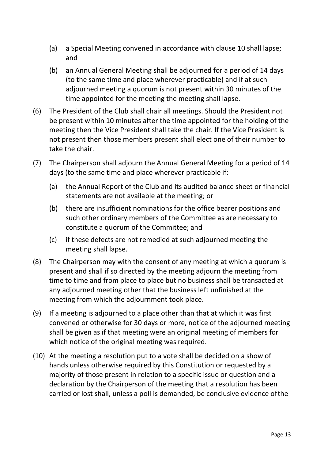- (a) a Special Meeting convened in accordance with clause 10 shall lapse; and
- (b) an Annual General Meeting shall be adjourned for a period of 14 days (to the same time and place wherever practicable) and if at such adjourned meeting a quorum is not present within 30 minutes of the time appointed for the meeting the meeting shall lapse.
- (6) The President of the Club shall chair all meetings. Should the President not be present within 10 minutes after the time appointed for the holding of the meeting then the Vice President shall take the chair. If the Vice President is not present then those members present shall elect one of their number to take the chair.
- (7) The Chairperson shall adjourn the Annual General Meeting for a period of 14 days (to the same time and place wherever practicable if:
	- (a) the Annual Report of the Club and its audited balance sheet or financial statements are not available at the meeting; or
	- (b) there are insufficient nominations for the office bearer positions and such other ordinary members of the Committee as are necessary to constitute a quorum of the Committee; and
	- (c) if these defects are not remedied at such adjourned meeting the meeting shall lapse.
- (8) The Chairperson may with the consent of any meeting at which a quorum is present and shall if so directed by the meeting adjourn the meeting from time to time and from place to place but no business shall be transacted at any adjourned meeting other that the business left unfinished at the meeting from which the adjournment took place.
- (9) If a meeting is adjourned to a place other than that at which it was first convened or otherwise for 30 days or more, notice of the adjourned meeting shall be given as if that meeting were an original meeting of members for which notice of the original meeting was required.
- (10) At the meeting a resolution put to a vote shall be decided on a show of hands unless otherwise required by this Constitution or requested by a majority of those present in relation to a specific issue or question and a declaration by the Chairperson of the meeting that a resolution has been carried or lost shall, unless a poll is demanded, be conclusive evidence ofthe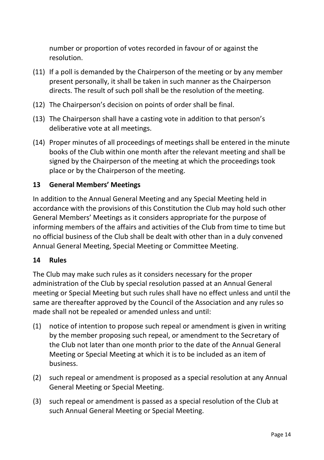number or proportion of votes recorded in favour of or against the resolution.

- (11) If a poll is demanded by the Chairperson of the meeting or by any member present personally, it shall be taken in such manner as the Chairperson directs. The result of such poll shall be the resolution of the meeting.
- (12) The Chairperson's decision on points of order shall be final.
- (13) The Chairperson shall have a casting vote in addition to that person's deliberative vote at all meetings.
- (14) Proper minutes of all proceedings of meetings shall be entered in the minute books of the Club within one month after the relevant meeting and shall be signed by the Chairperson of the meeting at which the proceedings took place or by the Chairperson of the meeting.

### **13 General Members' Meetings**

In addition to the Annual General Meeting and any Special Meeting held in accordance with the provisions of this Constitution the Club may hold such other General Members' Meetings as it considers appropriate for the purpose of informing members of the affairs and activities of the Club from time to time but no official business of the Club shall be dealt with other than in a duly convened Annual General Meeting, Special Meeting or Committee Meeting.

### **14 Rules**

The Club may make such rules as it considers necessary for the proper administration of the Club by special resolution passed at an Annual General meeting or Special Meeting but such rules shall have no effect unless and until the same are thereafter approved by the Council of the Association and any rules so made shall not be repealed or amended unless and until:

- (1) notice of intention to propose such repeal or amendment is given in writing by the member proposing such repeal, or amendment to the Secretary of the Club not later than one month prior to the date of the Annual General Meeting or Special Meeting at which it is to be included as an item of business.
- (2) such repeal or amendment is proposed as a special resolution at any Annual General Meeting or Special Meeting.
- (3) such repeal or amendment is passed as a special resolution of the Club at such Annual General Meeting or Special Meeting.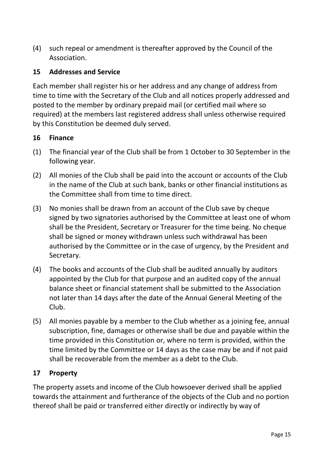(4) such repeal or amendment is thereafter approved by the Council of the Association.

### **15 Addresses and Service**

Each member shall register his or her address and any change of address from time to time with the Secretary of the Club and all notices properly addressed and posted to the member by ordinary prepaid mail (or certified mail where so required) at the members last registered address shall unless otherwise required by this Constitution be deemed duly served.

### **16 Finance**

- (1) The financial year of the Club shall be from 1 October to 30 September in the following year.
- (2) All monies of the Club shall be paid into the account or accounts of the Club in the name of the Club at such bank, banks or other financial institutions as the Committee shall from time to time direct.
- (3) No monies shall be drawn from an account of the Club save by cheque signed by two signatories authorised by the Committee at least one of whom shall be the President, Secretary or Treasurer for the time being. No cheque shall be signed or money withdrawn unless such withdrawal has been authorised by the Committee or in the case of urgency, by the President and Secretary.
- (4) The books and accounts of the Club shall be audited annually by auditors appointed by the Club for that purpose and an audited copy of the annual balance sheet or financial statement shall be submitted to the Association not later than 14 days after the date of the Annual General Meeting of the Club.
- (5) All monies payable by a member to the Club whether as a joining fee, annual subscription, fine, damages or otherwise shall be due and payable within the time provided in this Constitution or, where no term is provided, within the time limited by the Committee or 14 days as the case may be and if not paid shall be recoverable from the member as a debt to the Club.

## **17 Property**

The property assets and income of the Club howsoever derived shall be applied towards the attainment and furtherance of the objects of the Club and no portion thereof shall be paid or transferred either directly or indirectly by way of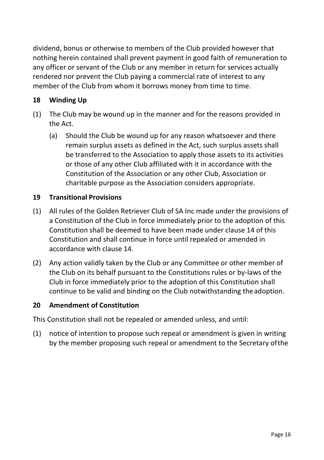dividend, bonus or otherwise to members of the Club provided however that nothing herein contained shall prevent payment in good faith of remuneration to any officer or servant of the Club or any member in return for services actually rendered nor prevent the Club paying a commercial rate of interest to any member of the Club from whom it borrows money from time to time.

## **18 Winding Up**

- (1) The Club may be wound up in the manner and for the reasons provided in the Act.
	- (a) Should the Club be wound up for any reason whatsoever and there remain surplus assets as defined in the Act, such surplus assets shall be transferred to the Association to apply those assets to its activities or those of any other Club affiliated with it in accordance with the Constitution of the Association or any other Club, Association or charitable purpose as the Association considers appropriate.

### **19 Transitional Provisions**

- (1) All rules of the Golden Retriever Club of SA Inc made under the provisions of a Constitution of the Club in force immediately prior to the adoption of this Constitution shall be deemed to have been made under clause 14 of this Constitution and shall continue in force until repealed or amended in accordance with clause 14.
- (2) Any action validly taken by the Club or any Committee or other member of the Club on its behalf pursuant to the Constitutions rules or by-laws of the Club in force immediately prior to the adoption of this Constitution shall continue to be valid and binding on the Club notwithstanding the adoption.

### **20 Amendment of Constitution**

This Constitution shall not be repealed or amended unless, and until:

(1) notice of intention to propose such repeal or amendment is given in writing by the member proposing such repeal or amendment to the Secretary ofthe